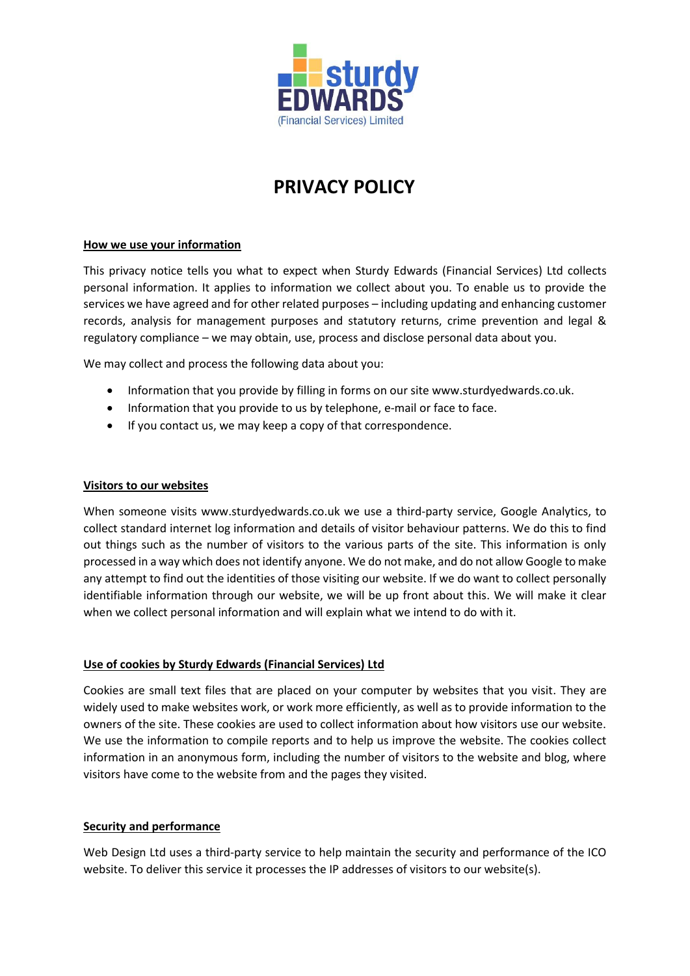

# **PRIVACY POLICY**

## **How we use your information**

This privacy notice tells you what to expect when Sturdy Edwards (Financial Services) Ltd collects personal information. It applies to information we collect about you. To enable us to provide the services we have agreed and for other related purposes – including updating and enhancing customer records, analysis for management purposes and statutory returns, crime prevention and legal & regulatory compliance – we may obtain, use, process and disclose personal data about you.

We may collect and process the following data about you:

- Information that you provide by filling in forms on our site www.sturdyedwards.co.uk.
- Information that you provide to us by telephone, e-mail or face to face.
- If you contact us, we may keep a copy of that correspondence.

#### **Visitors to our websites**

When someone visits www.sturdyedwards.co.uk we use a third-party service, Google Analytics, to collect standard internet log information and details of visitor behaviour patterns. We do this to find out things such as the number of visitors to the various parts of the site. This information is only processed in a way which does not identify anyone. We do not make, and do not allow Google to make any attempt to find out the identities of those visiting our website. If we do want to collect personally identifiable information through our website, we will be up front about this. We will make it clear when we collect personal information and will explain what we intend to do with it.

#### **Use of cookies by Sturdy Edwards (Financial Services) Ltd**

Cookies are small text files that are placed on your computer by websites that you visit. They are widely used to make websites work, or work more efficiently, as well as to provide information to the owners of the site. These cookies are used to collect information about how visitors use our website. We use the information to compile reports and to help us improve the website. The cookies collect information in an anonymous form, including the number of visitors to the website and blog, where visitors have come to the website from and the pages they visited.

#### **Security and performance**

Web Design Ltd uses a third-party service to help maintain the security and performance of the ICO website. To deliver this service it processes the IP addresses of visitors to our website(s).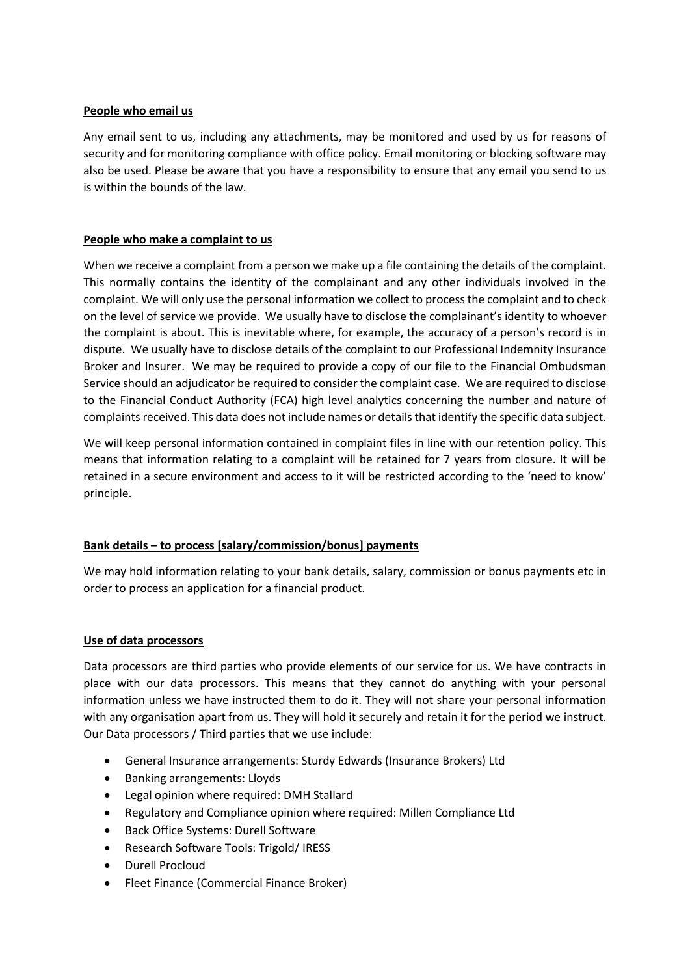## **People who email us**

Any email sent to us, including any attachments, may be monitored and used by us for reasons of security and for monitoring compliance with office policy. Email monitoring or blocking software may also be used. Please be aware that you have a responsibility to ensure that any email you send to us is within the bounds of the law.

# **People who make a complaint to us**

When we receive a complaint from a person we make up a file containing the details of the complaint. This normally contains the identity of the complainant and any other individuals involved in the complaint. We will only use the personal information we collect to process the complaint and to check on the level of service we provide. We usually have to disclose the complainant's identity to whoever the complaint is about. This is inevitable where, for example, the accuracy of a person's record is in dispute. We usually have to disclose details of the complaint to our Professional Indemnity Insurance Broker and Insurer. We may be required to provide a copy of our file to the Financial Ombudsman Service should an adjudicator be required to consider the complaint case. We are required to disclose to the Financial Conduct Authority (FCA) high level analytics concerning the number and nature of complaints received. This data does not include names or details that identify the specific data subject.

We will keep personal information contained in complaint files in line with our retention policy. This means that information relating to a complaint will be retained for 7 years from closure. It will be retained in a secure environment and access to it will be restricted according to the 'need to know' principle.

# **Bank details – to process [salary/commission/bonus] payments**

We may hold information relating to your bank details, salary, commission or bonus payments etc in order to process an application for a financial product.

#### **Use of data processors**

Data processors are third parties who provide elements of our service for us. We have contracts in place with our data processors. This means that they cannot do anything with your personal information unless we have instructed them to do it. They will not share your personal information with any organisation apart from us. They will hold it securely and retain it for the period we instruct. Our Data processors / Third parties that we use include:

- General Insurance arrangements: Sturdy Edwards (Insurance Brokers) Ltd
- Banking arrangements: Lloyds
- Legal opinion where required: DMH Stallard
- Regulatory and Compliance opinion where required: Millen Compliance Ltd
- Back Office Systems: Durell Software
- Research Software Tools: Trigold/ IRESS
- Durell Procloud
- Fleet Finance (Commercial Finance Broker)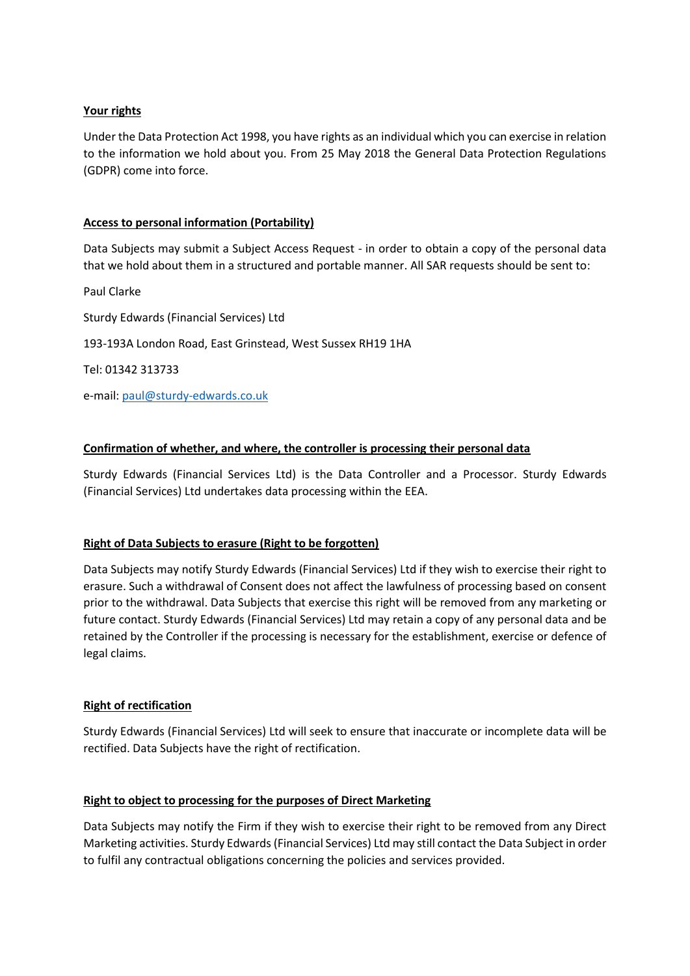# **Your rights**

Under the Data Protection Act 1998, you have rights as an individual which you can exercise in relation to the information we hold about you. From 25 May 2018 the General Data Protection Regulations (GDPR) come into force.

#### **Access to personal information (Portability)**

Data Subjects may submit a Subject Access Request - in order to obtain a copy of the personal data that we hold about them in a structured and portable manner. All SAR requests should be sent to:

Paul Clarke Sturdy Edwards (Financial Services) Ltd 193-193A London Road, East Grinstead, West Sussex RH19 1HA Tel: 01342 313733 e-mail: [paul@sturdy-edwards.co.uk](mailto:paul@sturdy-edwards.co.uk)

## **Confirmation of whether, and where, the controller is processing their personal data**

Sturdy Edwards (Financial Services Ltd) is the Data Controller and a Processor. Sturdy Edwards (Financial Services) Ltd undertakes data processing within the EEA.

#### **Right of Data Subjects to erasure (Right to be forgotten)**

Data Subjects may notify Sturdy Edwards (Financial Services) Ltd if they wish to exercise their right to erasure. Such a withdrawal of Consent does not affect the lawfulness of processing based on consent prior to the withdrawal. Data Subjects that exercise this right will be removed from any marketing or future contact. Sturdy Edwards (Financial Services) Ltd may retain a copy of any personal data and be retained by the Controller if the processing is necessary for the establishment, exercise or defence of legal claims.

#### **Right of rectification**

Sturdy Edwards (Financial Services) Ltd will seek to ensure that inaccurate or incomplete data will be rectified. Data Subjects have the right of rectification.

# **Right to object to processing for the purposes of Direct Marketing**

Data Subjects may notify the Firm if they wish to exercise their right to be removed from any Direct Marketing activities. Sturdy Edwards (Financial Services) Ltd may still contact the Data Subject in order to fulfil any contractual obligations concerning the policies and services provided.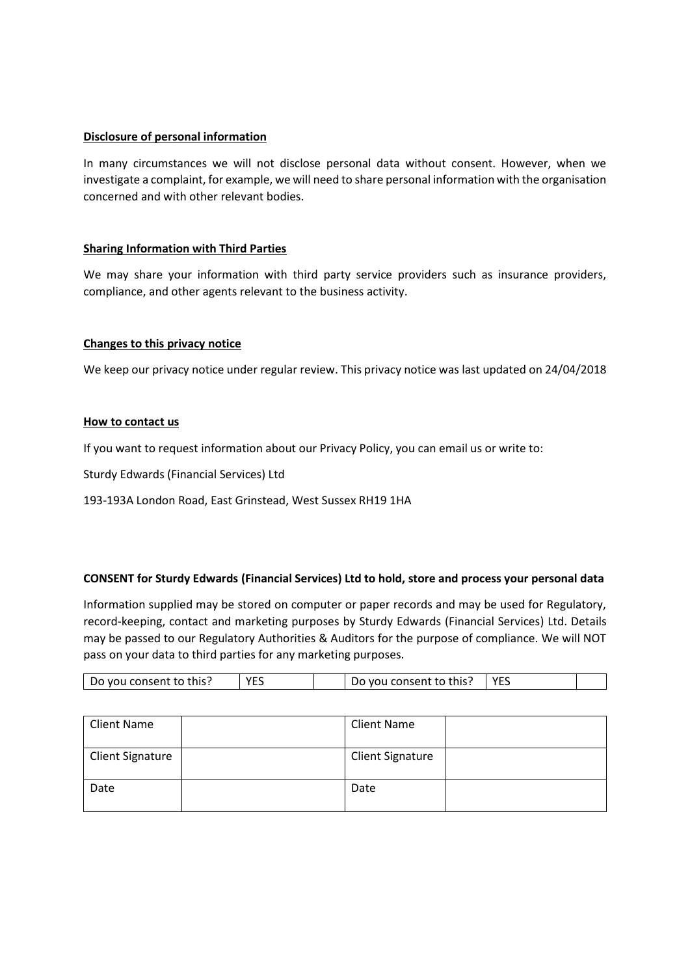#### **Disclosure of personal information**

In many circumstances we will not disclose personal data without consent. However, when we investigate a complaint, for example, we will need to share personal information with the organisation concerned and with other relevant bodies.

## **Sharing Information with Third Parties**

We may share your information with third party service providers such as insurance providers, compliance, and other agents relevant to the business activity.

## **Changes to this privacy notice**

We keep our privacy notice under regular review. This privacy notice was last updated on 24/04/2018

#### **How to contact us**

If you want to request information about our Privacy Policy, you can email us or write to:

Sturdy Edwards (Financial Services) Ltd

193-193A London Road, East Grinstead, West Sussex RH19 1HA

#### **CONSENT for Sturdy Edwards (Financial Services) Ltd to hold, store and process your personal data**

Information supplied may be stored on computer or paper records and may be used for Regulatory, record-keeping, contact and marketing purposes by Sturdy Edwards (Financial Services) Ltd. Details may be passed to our Regulatory Authorities & Auditors for the purpose of compliance. We will NOT pass on your data to third parties for any marketing purposes.

| -- | Do you consent to this? | VE <sup>r</sup> |  | vou consent to this?<br>חנ | VE' |  |
|----|-------------------------|-----------------|--|----------------------------|-----|--|
|----|-------------------------|-----------------|--|----------------------------|-----|--|

| <b>Client Name</b>      | <b>Client Name</b>      |  |
|-------------------------|-------------------------|--|
| <b>Client Signature</b> | <b>Client Signature</b> |  |
| Date                    | Date                    |  |